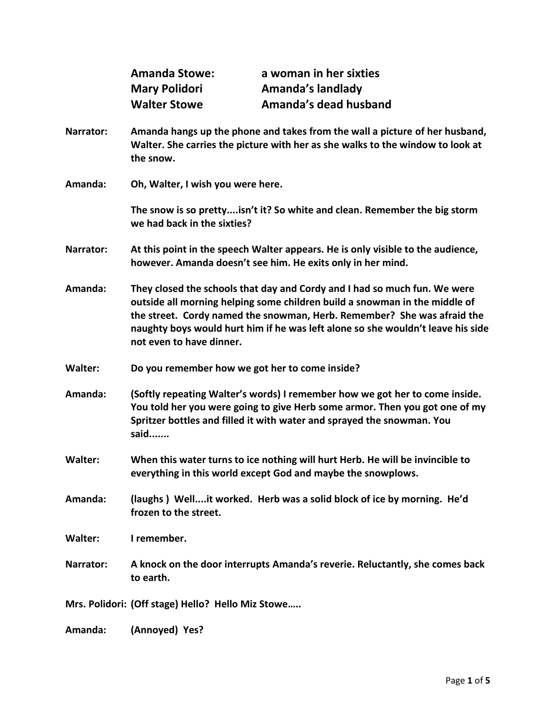| <b>Amanda Stowe:</b> | a woman in her sixties |
|----------------------|------------------------|
| <b>Mary Polidori</b> | Amanda's landlady      |
| <b>Walter Stowe</b>  | Amanda's dead husband  |

- **Narrator: Amanda hangs up the phone and takes from the wall a picture of her husband, Walter. She carries the picture with her as she walks to the window to look at the snow.**
- **Amanda: Oh, Walter, I wish you were here.**

**The snow is so pretty....isn't it? So white and clean. Remember the big storm we had back in the sixties?**

- **Narrator: At this point in the speech Walter appears. He is only visible to the audience, however. Amanda doesn't see him. He exits only in her mind.**
- **Amanda: They closed the schools that day and Cordy and I had so much fun. We were outside all morning helping some children build a snowman in the middle of the street. Cordy named the snowman, Herb. Remember? She was afraid the naughty boys would hurt him if he was left alone so she wouldn't leave his side not even to have dinner.**
- **Walter: Do you remember how we got her to come inside?**
- **Amanda: (Softly repeating Walter's words) I remember how we got her to come inside. You told her you were going to give Herb some armor. Then you got one of my Spritzer bottles and filled it with water and sprayed the snowman. You said.......**
- **Walter: When this water turns to ice nothing will hurt Herb. He will be invincible to everything in this world except God and maybe the snowplows.**
- **Amanda: (laughs ) Well....it worked. Herb was a solid block of ice by morning. He'd frozen to the street.**

**Walter: I remember.**

- **Narrator: A knock on the door interrupts Amanda's reverie. Reluctantly, she comes back to earth.**
- **Mrs. Polidori: (Off stage) Hello? Hello Miz Stowe…..**
- **Amanda: (Annoyed) Yes?**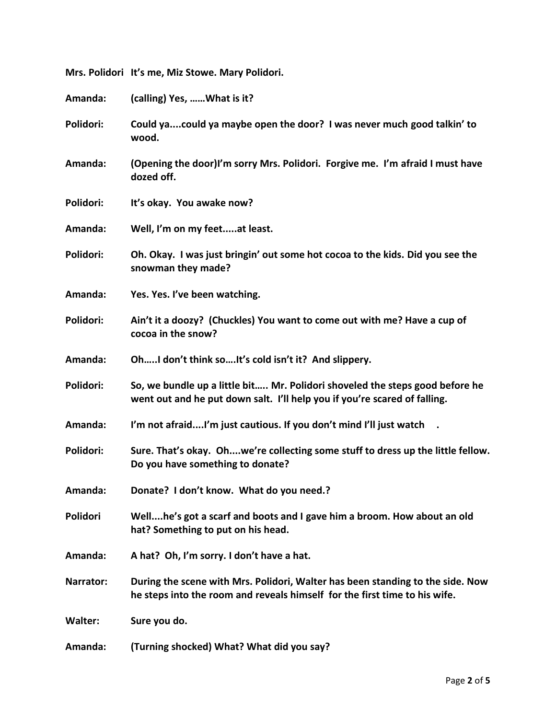| Amanda:        | (calling) Yes,  What is it?                                                                                                                                  |
|----------------|--------------------------------------------------------------------------------------------------------------------------------------------------------------|
| Polidori:      | Could yacould ya maybe open the door? I was never much good talkin' to<br>wood.                                                                              |
| Amanda:        | (Opening the door)I'm sorry Mrs. Polidori. Forgive me. I'm afraid I must have<br>dozed off.                                                                  |
| Polidori:      | It's okay. You awake now?                                                                                                                                    |
| Amanda:        | Well, I'm on my feetat least.                                                                                                                                |
| Polidori:      | Oh. Okay. I was just bringin' out some hot cocoa to the kids. Did you see the<br>snowman they made?                                                          |
| Amanda:        | Yes. Yes. I've been watching.                                                                                                                                |
| Polidori:      | Ain't it a doozy? (Chuckles) You want to come out with me? Have a cup of<br>cocoa in the snow?                                                               |
| Amanda:        | OhI don't think soIt's cold isn't it? And slippery.                                                                                                          |
| Polidori:      | So, we bundle up a little bit Mr. Polidori shoveled the steps good before he<br>went out and he put down salt. I'll help you if you're scared of falling.    |
| Amanda:        | I'm not afraidI'm just cautious. If you don't mind I'll just watch .                                                                                         |
| Polidori:      | Sure. That's okay. Ohwe're collecting some stuff to dress up the little fellow.<br>Do you have something to donate?                                          |
| Amanda:        | Donate? I don't know. What do you need.?                                                                                                                     |
| Polidori       | Wellhe's got a scarf and boots and I gave him a broom. How about an old<br>hat? Something to put on his head.                                                |
| Amanda:        | A hat? Oh, I'm sorry. I don't have a hat.                                                                                                                    |
| Narrator:      | During the scene with Mrs. Polidori, Walter has been standing to the side. Now<br>he steps into the room and reveals himself for the first time to his wife. |
| <b>Walter:</b> | Sure you do.                                                                                                                                                 |
| Amanda:        | (Turning shocked) What? What did you say?                                                                                                                    |

**Mrs. Polidori It's me, Miz Stowe. Mary Polidori.**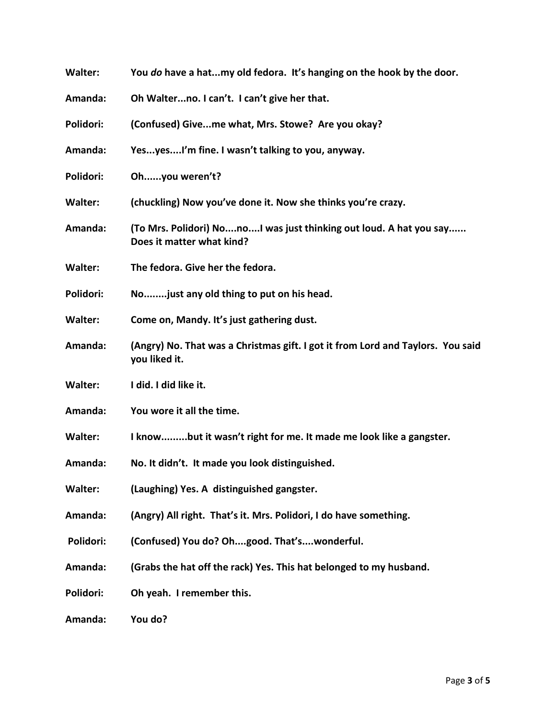| <b>Walter:</b> | You do have a hatmy old fedora. It's hanging on the hook by the door.                            |
|----------------|--------------------------------------------------------------------------------------------------|
| Amanda:        | Oh Walterno. I can't. I can't give her that.                                                     |
| Polidori:      | (Confused) Giveme what, Mrs. Stowe? Are you okay?                                                |
| Amanda:        | YesyesI'm fine. I wasn't talking to you, anyway.                                                 |
| Polidori:      | Ohyou weren't?                                                                                   |
| <b>Walter:</b> | (chuckling) Now you've done it. Now she thinks you're crazy.                                     |
| Amanda:        | (To Mrs. Polidori) NonoI was just thinking out loud. A hat you say<br>Does it matter what kind?  |
| <b>Walter:</b> | The fedora. Give her the fedora.                                                                 |
| Polidori:      | Nojust any old thing to put on his head.                                                         |
| <b>Walter:</b> | Come on, Mandy. It's just gathering dust.                                                        |
| Amanda:        | (Angry) No. That was a Christmas gift. I got it from Lord and Taylors. You said<br>you liked it. |
| <b>Walter:</b> | I did. I did like it.                                                                            |
| Amanda:        | You wore it all the time.                                                                        |
| <b>Walter:</b> | I knowbut it wasn't right for me. It made me look like a gangster.                               |
| Amanda:        | No. It didn't. It made you look distinguished.                                                   |
| <b>Walter:</b> | (Laughing) Yes. A distinguished gangster.                                                        |
| Amanda:        | (Angry) All right. That's it. Mrs. Polidori, I do have something.                                |
| Polidori:      | (Confused) You do? Ohgood. That'swonderful.                                                      |
| Amanda:        | (Grabs the hat off the rack) Yes. This hat belonged to my husband.                               |
| Polidori:      | Oh yeah. I remember this.                                                                        |
| Amanda:        | You do?                                                                                          |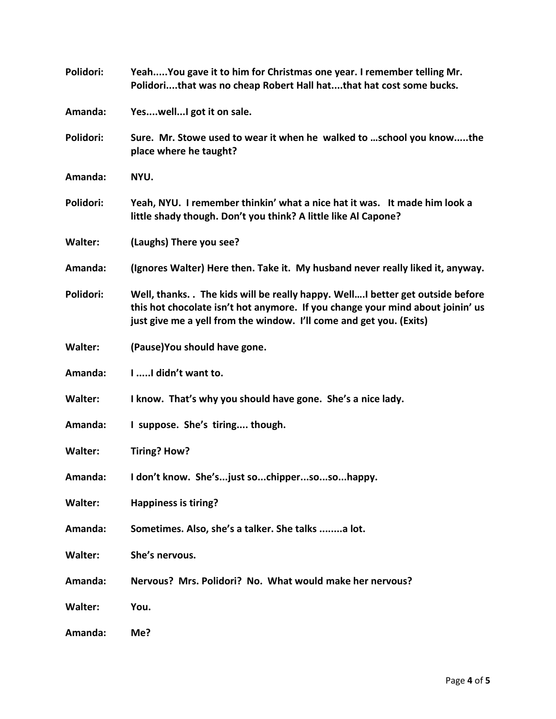| Polidori:      | YeahYou gave it to him for Christmas one year. I remember telling Mr.<br>Polidorithat was no cheap Robert Hall hatthat hat cost some bucks.                                                                                          |
|----------------|--------------------------------------------------------------------------------------------------------------------------------------------------------------------------------------------------------------------------------------|
| Amanda:        | YeswellI got it on sale.                                                                                                                                                                                                             |
| Polidori:      | Sure. Mr. Stowe used to wear it when he walked to  school you knowthe<br>place where he taught?                                                                                                                                      |
| Amanda:        | NYU.                                                                                                                                                                                                                                 |
| Polidori:      | Yeah, NYU. I remember thinkin' what a nice hat it was. It made him look a<br>little shady though. Don't you think? A little like Al Capone?                                                                                          |
| <b>Walter:</b> | (Laughs) There you see?                                                                                                                                                                                                              |
| Amanda:        | (Ignores Walter) Here then. Take it. My husband never really liked it, anyway.                                                                                                                                                       |
| Polidori:      | Well, thanks. The kids will be really happy. Well better get outside before<br>this hot chocolate isn't hot anymore. If you change your mind about joinin' us<br>just give me a yell from the window. I'll come and get you. (Exits) |
| <b>Walter:</b> | (Pause) You should have gone.                                                                                                                                                                                                        |
| Amanda:        | I  I didn't want to.                                                                                                                                                                                                                 |
| <b>Walter:</b> | I know. That's why you should have gone. She's a nice lady.                                                                                                                                                                          |
| Amanda:        | I suppose. She's tiring though.                                                                                                                                                                                                      |
| <b>Walter:</b> | Tiring? How?                                                                                                                                                                                                                         |
| Amanda:        | I don't know. She'sjust sochippersosohappy.                                                                                                                                                                                          |
| <b>Walter:</b> | Happiness is tiring?                                                                                                                                                                                                                 |
| Amanda:        | Sometimes. Also, she's a talker. She talks a lot.                                                                                                                                                                                    |
| <b>Walter:</b> | She's nervous.                                                                                                                                                                                                                       |
| Amanda:        | Nervous? Mrs. Polidori? No. What would make her nervous?                                                                                                                                                                             |
| <b>Walter:</b> | You.                                                                                                                                                                                                                                 |
| Amanda:        | Me?                                                                                                                                                                                                                                  |